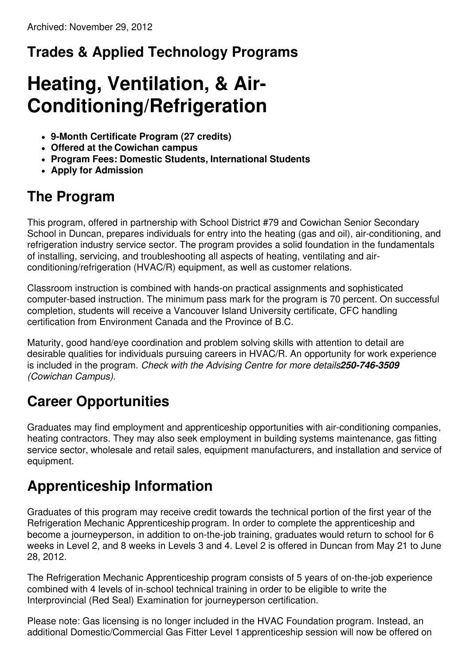## **Trades & Applied Technology Programs**

# **Heating, Ventilation, & Air-Conditioning/Refrigeration**

- **9-Month Certificate Program (27 credits)**
- **Offered at the Cowichan campus**
- **Program Fees: Domestic Students, International Students**
- **Apply for Admission**

## **The Program**

This program, offered in partnership with School District #79 and Cowichan Senior Secondary School in Duncan, prepares individuals for entry into the heating (gas and oil), air-conditioning, and refrigeration industry service sector. The program provides a solid foundation in the fundamentals of installing, servicing, and troubleshooting all aspects of heating, ventilating and airconditioning/refrigeration (HVAC/R) equipment, as well as customer relations.

Classroom instruction is combined with hands-on practical assignments and sophisticated computer-based instruction. The minimum pass mark for the program is 70 percent. On successful completion, students will receive a Vancouver Island University certificate, CFC handling certification from Environment Canada and the Province of B.C.

Maturity, good hand/eye coordination and problem solving skills with attention to detail are desirable qualities for individuals pursuing careers in HVAC/R. An opportunity for work experience is included in the program. *Check with the Advising Centre for more details250-746-3509 (Cowichan Campus).*

## **Career Opportunities**

Graduates may find employment and apprenticeship opportunities with air-conditioning companies, heating contractors. They may also seek employment in building systems maintenance, gas fitting service sector, wholesale and retail sales, equipment manufacturers, and installation and service of equipment.

## **Apprenticeship Information**

Graduates of this program may receive credit towards the technical portion of the first year of the Refrigeration Mechanic Apprenticeship program. In order to complete the apprenticeship and become a journeyperson, in addition to on-the-job training, graduates would return to school for 6 weeks in Level 2, and 8 weeks in Levels 3 and 4. Level 2 is offered in Duncan from May 21 to June 28, 2012.

The Refrigeration Mechanic Apprenticeship program consists of 5 years of on-the-job experience combined with 4 levels of in-school technical training in order to be eligible to write the Interprovincial (Red Seal) Examination for journeyperson certification.

Please note: Gas licensing is no longer included in the HVAC Foundation program. Instead, an additional Domestic/Commercial Gas Fitter Level 1apprenticeship session will now be offered on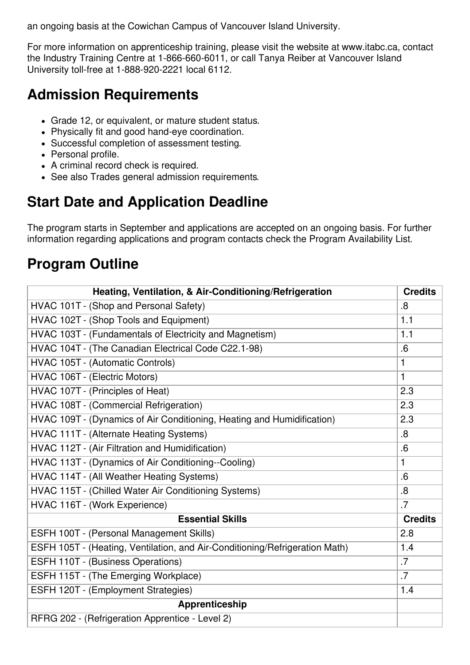an ongoing basis at the Cowichan Campus of Vancouver Island University.

For more information on apprenticeship training, please visit the website at www.itabc.ca, contact the Industry Training Centre at 1-866-660-6011, or call Tanya Reiber at Vancouver Island University toll-free at 1-888-920-2221 local 6112.

## **Admission Requirements**

- Grade 12, or equivalent, or mature student status.
- Physically fit and good hand-eye coordination.
- Successful completion of assessment testing.
- Personal profile.
- A criminal record check is required.
- See also Trades general admission requirements.

## **Start Date and Application Deadline**

The program starts in September and applications are accepted on an ongoing basis. For further information regarding applications and program contacts check the Program Availability List.

#### **Program Outline**

| Heating, Ventilation, & Air-Conditioning/Refrigeration                      | <b>Credits</b> |
|-----------------------------------------------------------------------------|----------------|
| HVAC 101T - (Shop and Personal Safety)                                      | .8             |
| HVAC 102T - (Shop Tools and Equipment)                                      | 1.1            |
| HVAC 103T - (Fundamentals of Electricity and Magnetism)                     | 1.1            |
| HVAC 104T - (The Canadian Electrical Code C22.1-98)                         | .6             |
| HVAC 105T - (Automatic Controls)                                            | 1              |
| HVAC 106T - (Electric Motors)                                               | 1              |
| HVAC 107T - (Principles of Heat)                                            | 2.3            |
| HVAC 108T - (Commercial Refrigeration)                                      | 2.3            |
| HVAC 109T - (Dynamics of Air Conditioning, Heating and Humidification)      | 2.3            |
| HVAC 111T - (Alternate Heating Systems)                                     | .8             |
| HVAC 112T - (Air Filtration and Humidification)                             | .6             |
| HVAC 113T - (Dynamics of Air Conditioning--Cooling)                         | 1              |
| HVAC 114T - (All Weather Heating Systems)                                   | .6             |
| HVAC 115T - (Chilled Water Air Conditioning Systems)                        | .8             |
| HVAC 116T - (Work Experience)                                               | .7             |
| <b>Essential Skills</b>                                                     | <b>Credits</b> |
| ESFH 100T - (Personal Management Skills)                                    | 2.8            |
| ESFH 105T - (Heating, Ventilation, and Air-Conditioning/Refrigeration Math) | 1.4            |
| ESFH 110T - (Business Operations)                                           | .7             |
| ESFH 115T - (The Emerging Workplace)                                        | .7             |
| ESFH 120T - (Employment Strategies)                                         | 1.4            |
| <b>Apprenticeship</b>                                                       |                |
| RFRG 202 - (Refrigeration Apprentice - Level 2)                             |                |